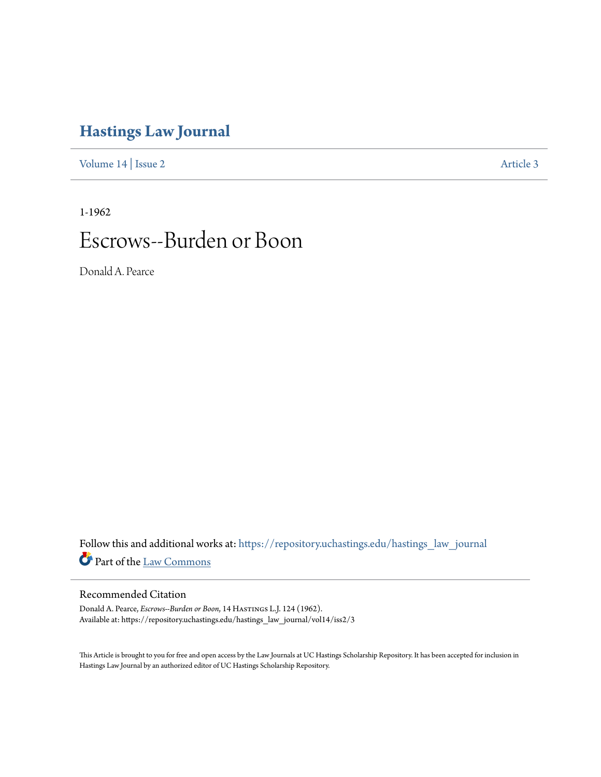# **[Hastings Law Journal](https://repository.uchastings.edu/hastings_law_journal?utm_source=repository.uchastings.edu%2Fhastings_law_journal%2Fvol14%2Fiss2%2F3&utm_medium=PDF&utm_campaign=PDFCoverPages)**

[Volume 14](https://repository.uchastings.edu/hastings_law_journal/vol14?utm_source=repository.uchastings.edu%2Fhastings_law_journal%2Fvol14%2Fiss2%2F3&utm_medium=PDF&utm_campaign=PDFCoverPages) | [Issue 2](https://repository.uchastings.edu/hastings_law_journal/vol14/iss2?utm_source=repository.uchastings.edu%2Fhastings_law_journal%2Fvol14%2Fiss2%2F3&utm_medium=PDF&utm_campaign=PDFCoverPages) [Article 3](https://repository.uchastings.edu/hastings_law_journal/vol14/iss2/3?utm_source=repository.uchastings.edu%2Fhastings_law_journal%2Fvol14%2Fiss2%2F3&utm_medium=PDF&utm_campaign=PDFCoverPages)

1-1962

# Escrows--Burden or Boon

Donald A. Pearce

Follow this and additional works at: [https://repository.uchastings.edu/hastings\\_law\\_journal](https://repository.uchastings.edu/hastings_law_journal?utm_source=repository.uchastings.edu%2Fhastings_law_journal%2Fvol14%2Fiss2%2F3&utm_medium=PDF&utm_campaign=PDFCoverPages) Part of the [Law Commons](http://network.bepress.com/hgg/discipline/578?utm_source=repository.uchastings.edu%2Fhastings_law_journal%2Fvol14%2Fiss2%2F3&utm_medium=PDF&utm_campaign=PDFCoverPages)

# Recommended Citation

Donald A. Pearce, *Escrows--Burden or Boon*, 14 Hastings L.J. 124 (1962). Available at: https://repository.uchastings.edu/hastings\_law\_journal/vol14/iss2/3

This Article is brought to you for free and open access by the Law Journals at UC Hastings Scholarship Repository. It has been accepted for inclusion in Hastings Law Journal by an authorized editor of UC Hastings Scholarship Repository.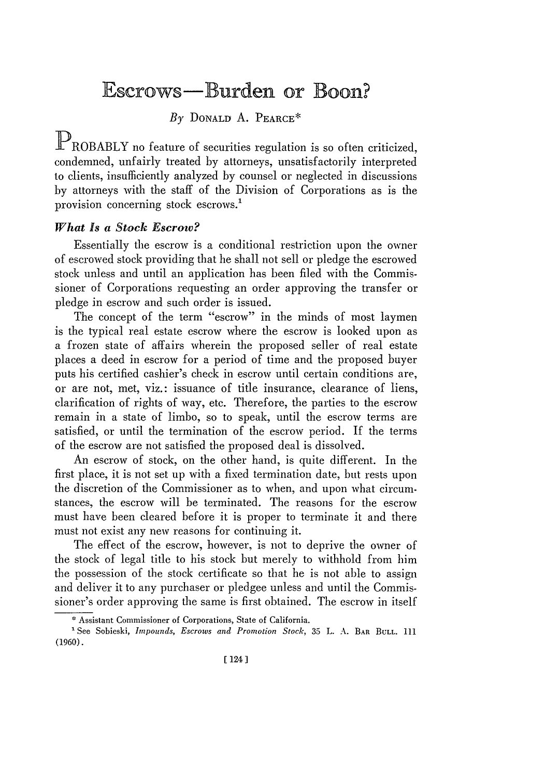# Escrows-Burden or Boon?

*By* **DONALD A.** PEARCE\*

PROBABLY no feature of securities regulation is so often criticized, condemned, unfairly treated by attorneys, unsatisfactorily interpreted to clients, insufficiently analyzed by counsel or neglected in discussions by attorneys with the staff of the Division of Corporations as is the provision concerning stock escrows.'

# *What Is a Stock Escrow?*

Essentially the escrow is a conditional restriction upon the owner of escrowed stock providing that he shall not sell or pledge the escrowed stock unless and until an application has been filed with the Commissioner of Corporations requesting an order approving the transfer or pledge in escrow and such order is issued.

The concept of the term "escrow" in the minds of most laymen is the typical real estate escrow where the escrow is looked upon as a frozen state of affairs wherein the proposed seller of real estate places a deed in escrow for a period of time and the proposed buyer puts his certified cashier's check in escrow until certain conditions are, or are not, met, viz.: issuance of title insurance, clearance of liens, clarification of rights of way, etc. Therefore, the parties to the escrow remain in a state of limbo, so to speak, until the escrow terms are satisfied, or until the termination of the escrow period. If the terms of the escrow are not satisfied the proposed deal is dissolved.

An escrow of stock, on the other hand, is quite different. In the first place, it is not set up with a fixed termination date, but rests upon the discretion of the Commissioner as to when, and upon what circumstances, the escrow will be terminated. The reasons for the escrow must have been cleared before it is proper to terminate it and there must not exist any new reasons for continuing it.

The effect of the escrow, however, is not to deprive the owner of the stock of legal title to his stock but merely to withhold from him the possession of the stock certificate so that he is not able to assign and deliver it to any purchaser or pledgee unless and until the Commissioner's order approving the same is first obtained. The escrow in itself

**<sup>\*</sup>** Assistant Commissioner **of** Corporations, State **of** California.

<sup>&#</sup>x27;See Sobieski, *Impounds, Escrows and Promotion Stock,* **35** L. **A.** BAR BULL. **111 (1960).**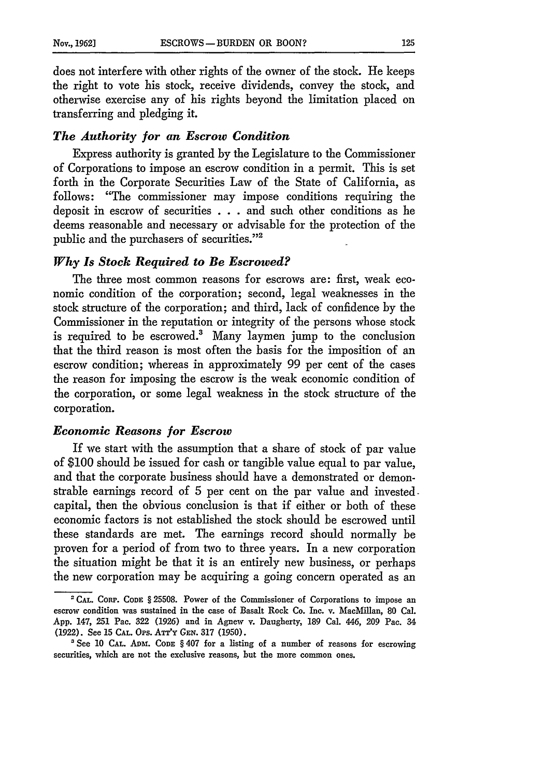does not interfere with other rights of the owner of the stock. He keeps the right to vote his stock, receive dividends, convey the stock, and otherwise exercise any of his rights beyond the limitation placed on transferring and pledging it.

#### *The Authority for an Escrow Condition*

Express authority is granted by the Legislature to the Commissioner of Corporations to impose an escrow condition in a permit. This is set forth in the Corporate Securities Law of the State of California, as follows: "The commissioner may impose conditions requiring the deposit in escrow of securities . . .and such other conditions as he deems reasonable and necessary or advisable for the protection of the public and the purchasers of securities."<sup>2</sup>

#### *Why Is Stock Required to Be Escrowed?*

The three most common reasons for escrows are: first, weak economic condition of the corporation; second, legal weaknesses in the stock structure of the corporation; and third, lack of confidence by the Commissioner in the reputation or integrity of the persons whose stock is required to be escrowed.3 Many laymen jump to the conclusion that the third reason is most often the basis for the imposition of an escrow condition; whereas in approximately 99 per cent of the cases the reason for imposing the escrow is the weak economic condition of the corporation, or some legal weakness in the stock structure of the corporation.

#### *Economic Reasons for Escrow*

If we start with the assumption that a share of stock of par value of \$100 should be issued for cash or tangible value equal to par value, and that the corporate business should have a demonstrated or demonstrable earnings record of 5 per cent on the par value and invested. capital, then the obvious conclusion is that if either or both of these economic factors is not established the stock should be escrowed until these standards are met. The earnings record should normally be proven for a period of from two to three years. In a new corporation the situation might be that it is an entirely new business, or perhaps the new corporation may be acquiring a going concern operated as an

<sup>2</sup>**CAL. CORP. CODE** § 25508. Power of the Commissioner of Corporations to impose an escrow condition was sustained in the case of Basalt Rock Co. Inc. v. MacMillan, **80** Cal. App. 147, 251 Pac. 322 (1926) and in Agnew v. Daugherty, 189 Cal. 446, 209 Pac. 34 (1922). See 15 **CAL.** O's. **ATT'Y GEN.** 317 (1950).

<sup>&#</sup>x27;See 10 **CAL.** Am. **CODE** § 407 for a listing of a number of reasons for escrowing securities, which are not the exclusive reasons, but the more common ones.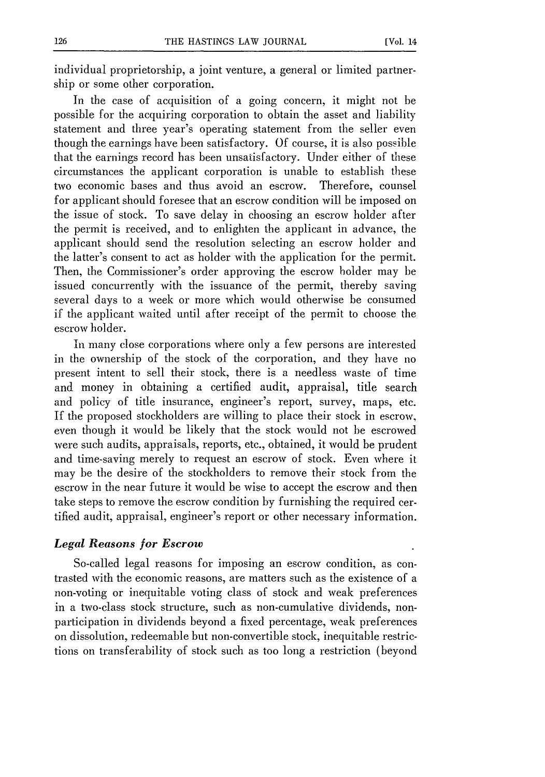individual proprietorship, a joint venture, a general or limited partnership or some other corporation.

In the case of acquisition of a going concern, it might not be possible for the acquiring corporation to obtain the asset and liability statement and three year's operating statement from the seller even though the earnings have been satisfactory. Of course, it is also possible that the earnings record has been unsatisfactory. Under either of these circumstances the applicant corporation is unable to establish these two economic bases and thus avoid an escrow. Therefore, counsel for applicant should foresee that an escrow condition will be imposed on the issue of stock. To save delay in choosing an escrow holder after the permit is received, and to enlighten the applicant in advance, the applicant should send the resolution selecting an escrow holder and the latter's consent to act as holder with the application for the permit. Then, the Commissioner's order approving the escrow holder may be issued concurrently with the issuance of the permit, thereby saving several days to a week or more which would otherwise be consumed if the applicant waited until after receipt of the permit to choose the escrow holder.

In many close corporations where only a few persons are interested in the ownership of the stock of the corporation, and they have no present intent to sell their stock, there is a needless waste of time and money in obtaining a certified audit, appraisal, title search and policy of title insurance, engineer's report, survey, maps, etc. If the proposed stockholders are willing to place their stock in escrow, even though it would be likely that the stock would not be escrowed were such audits, appraisals, reports, etc., obtained, it would be prudent and time-saving merely to request an escrow of stock. Even where it may be the desire of the stockholders to remove their stock from the escrow in the near future it would be wise to accept the escrow and then take steps to remove the escrow condition by furnishing the required certified audit, appraisal, engineer's report or other necessary information.

### *Legal Reasons for Escrow*

So-called legal reasons for imposing an escrow condition, as contrasted with the economic reasons, are matters such as the existence of a non-voting or inequitable voting class of stock and weak preferences in a two-class stock structure, such as non-cumulative dividends, nonparticipation in dividends beyond a fixed percentage, weak preferences on dissolution, redeemable but non-convertible stock, inequitable restrictions on transferability of stock such as too long a restriction (beyond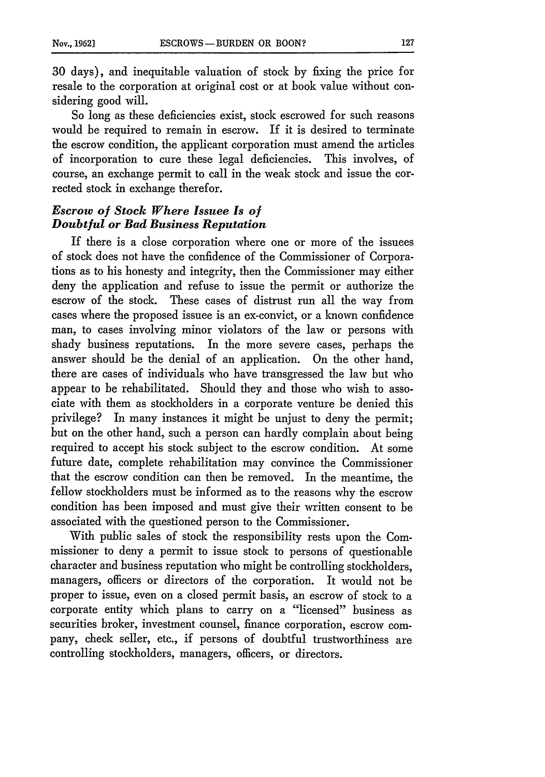30 days), and inequitable valuation of stock by fixing the price for resale to the corporation at original cost or at book value without considering good will.

So long as these deficiencies exist, stock escrowed for such reasons would be required to remain in escrow. If it is desired to terminate the escrow condition, the applicant corporation must amend the articles of incorporation to cure these legal deficiencies. This involves, of course, an exchange permit to call in the weak stock and issue the corrected stock in exchange therefor.

# *Escrow of Stock Where Issuee Is of Doubtful or Bad Business Reputation*

If there is a close corporation where one or more of the issuees of stock does not have the confidence of the Commissioner of Corporations as to his honesty and integrity, then the Commissioner may either deny the application and refuse to issue the permit or authorize the escrow of the stock. These cases of distrust run all the way from cases where the proposed issuee is an ex-convict, or a known confidence man, to cases involving minor violators of the law or persons with shady business reputations. In the more severe cases, perhaps the answer should be the denial of an application. On the other hand, there are cases of individuals who have transgressed the law but who appear to be rehabilitated. Should they and those who wish to associate with them as stockholders in a corporate venture be denied this privilege? In many instances it might be unjust to deny the permit; but on the other hand, such a person can hardly complain about being required to accept his stock subject to the escrow condition. At some future date, complete rehabilitation may convince the Commissioner that the escrow condition can then be removed. In the meantime, the fellow stockholders must be informed as to the reasons why the escrow condition has been imposed and must give their written consent to be associated with the questioned person to the Commissioner.

With public sales of stock the responsibility rests upon the Commissioner to deny a permit to issue stock to persons of questionable character and business reputation who might be controlling stockholders, managers, officers or directors of the corporation. It would not be proper to issue, even on a closed permit basis, an escrow of stock to a corporate entity which plans to carry on a "licensed" business as securities broker, investment counsel, finance corporation, escrow company, check seller, etc., if persons of doubtful trustworthiness are controlling stockholders, managers, officers, or directors.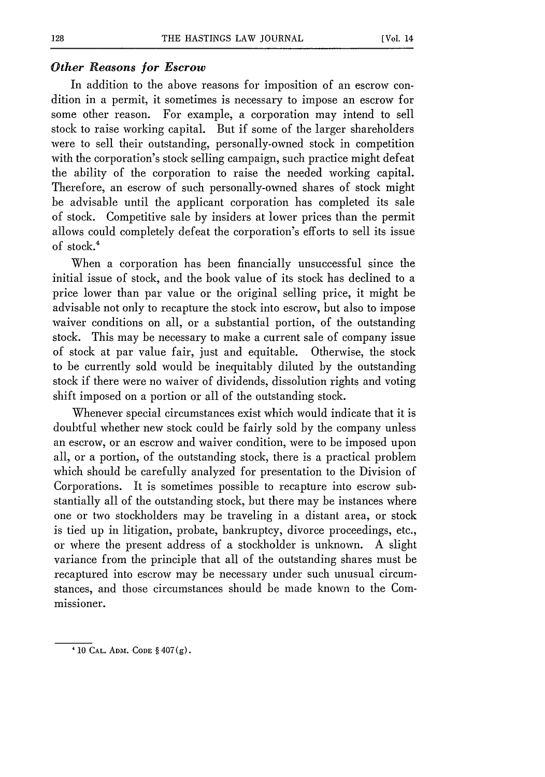#### *Other Reasons for Escrow*

In addition to the above reasons for imposition of an escrow condition in a permit, it sometimes is necessary to impose an escrow for some other reason. For example, a corporation may intend to sell stock to raise working capital. But if some of the larger shareholders were to sell their outstanding, personally-owned stock in competition with the corporation's stock selling campaign, such practice might defeat the ability of the corporation to raise the needed working capital. Therefore, an escrow of such personally-owned shares of stock might be advisable until the applicant corporation has completed its sale of stock. Competitive sale by insiders at lower prices than the permit allows could completely defeat the corporation's efforts to sell its issue of stock.<sup>4</sup>

When a corporation has been financially unsuccessful since the initial issue of stock, and the book value of its stock has declined to a price lower than par value or the original selling price, it might be advisable not only to recapture the stock into escrow, but also to impose waiver conditions on all, or a substantial portion, of the outstanding stock. This may be necessary to make a current sale of company issue of stock at par value fair, just and equitable. Otherwise, the stock to be currently sold would be inequitably diluted by the outstanding stock if there were no waiver of dividends, dissolution rights and voting shift imposed on a portion or all of the outstanding stock.

Whenever special circumstances exist which would indicate that it is doubtful whether new stock could be fairly sold by the company unless an escrow, or an escrow and waiver condition, were to be imposed upon all, or a portion, of the outstanding stock, there is a practical problem which should be carefully analyzed for presentation to the Division of Corporations. It is sometimes possible to recapture into escrow substantially all of the outstanding stock, but there may be instances where one or two stockholders may be traveling in a distant area, or stock is tied up in litigation, probate, bankruptcy, divorce proceedings, etc., or where the present address of a stockholder is unknown. A slight variance from the principle that all of the outstanding shares must be recaptured into escrow may be necessary under such unusual circumstances, and those circumstances should be made known to the Commissioner.

**<sup>&#</sup>x27; 10 CAL. ADM. CODE** § 407(g).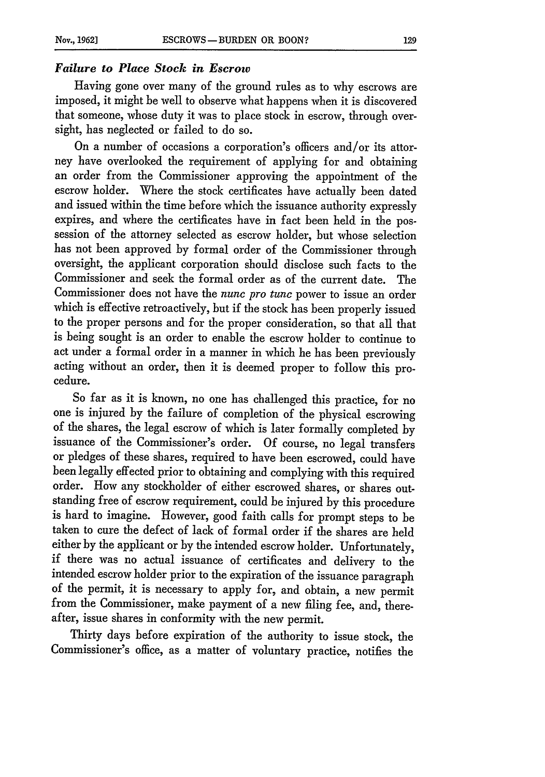# *Failure to Place Stock in Escrow*

Having gone over many of the ground rules as to why escrows are imposed, it might be well to observe what happens when it is discovered that someone, whose duty it was to place stock in escrow, through oversight, has neglected or failed to do so.

On a number of occasions a corporation's officers and/or its attorney have overlooked the requirement of applying for and obtaining an order from the Commissioner approving the appointment of the escrow holder. Where the stock certificates have actually been dated and issued within the time before which the issuance authority expressly expires, and where the certificates have in fact been held in the possession of the attorney selected as escrow holder, but whose selection has not been approved by formal order of the Commissioner through oversight, the applicant corporation should disclose such facts to the Commissioner and seek the formal order as of the current date. The Commissioner does not have the *nunc pro tunc* power to issue an order which is effective retroactively, but if the stock has been properly issued to the proper persons and for the proper consideration, so that all that is being sought is an order to enable the escrow holder to continue to act under a formal order in a manner in which he has been previously acting without an order, then it is deemed proper to follow this procedure.

So far as it is known, no one has challenged this practice, for no one is injured by the failure of completion of the physical escrowing of the shares, the legal escrow of which is later formally completed by issuance of the Commissioner's order. Of course, no legal transfers or pledges of these shares, required to have been escrowed, could have been legally effected prior to obtaining and complying with this required order. How any stockholder of either escrowed shares, or shares outstanding free of escrow requirement, could be injured by this procedure is hard to imagine. However, good faith calls for prompt steps to be taken to cure the defect of lack of formal order if the shares are held either by the applicant or by the intended escrow holder. Unfortunately, if there was no actual issuance of certificates and delivery to the intended escrow holder prior to the expiration of the issuance paragraph of the permit, it is necessary to apply for, and obtain, a new permit from the Commissioner, make payment of a new filing fee, and, thereafter, issue shares in conformity with the new permit.

Thirty days before expiration of the authority to issue stock, the Commissioner's office, as a matter of voluntary practice, notifies the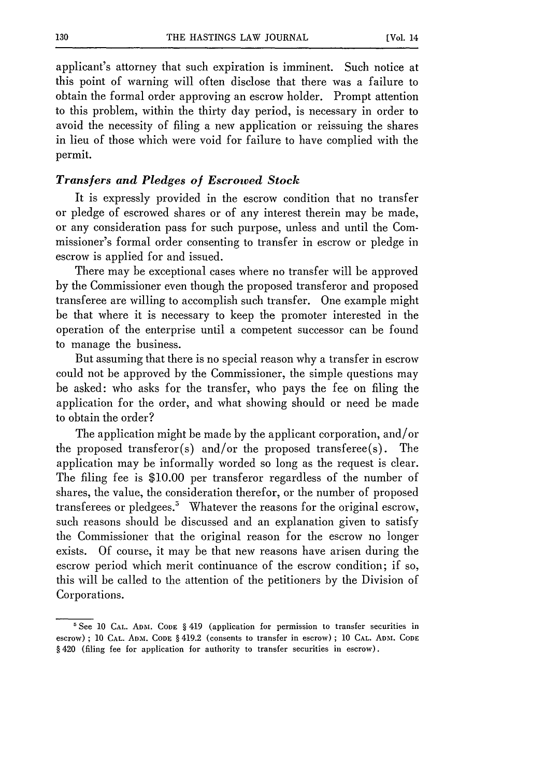applicant's attorney that such expiration is imminent. Such notice at this point of warning will often disclose that there was a failure to obtain the formal order approving an escrow holder. Prompt attention to this problem, within the thirty day period, is necessary in order to avoid the necessity of filing a new application or reissuing the shares in lieu of those which were void for failure to have complied with the permit.

#### *Transfers and Pledges of Escrowed Stock*

It is expressly provided in the escrow condition that no transfer or pledge of escrowed shares or of any interest therein may be made, or any consideration pass for such purpose, unless and until the Commissioner's formal order consenting to transfer in escrow or pledge in escrow is applied for and issued.

There may be exceptional cases where no transfer will be approved by the Commissioner even though the proposed transferor and proposed transferee are willing to accomplish such transfer. One example might be that where it is necessary to keep the promoter interested in the operation of the enterprise until a competent successor can be found to manage the business.

But assuming that there is no special reason why a transfer in escrow could not be approved by the Commissioner, the simple questions may be asked: who asks for the transfer, who pays the fee on filing the application for the order, and what showing should or need be made to obtain the order?

The application might be made by the applicant corporation, and/or the proposed transferor(s) and/or the proposed transferee(s). The application may be informally worded so long as the request is clear. The filing fee is \$10.00 per transferor regardless of the number of shares, the value, the consideration therefor, or the number of proposed transferees or pledgees? Whatever the reasons for the original escrow, such reasons should be discussed and an explanation given to satisfy the Commissioner that the original reason for the escrow no longer exists. Of course, it may be that new reasons have arisen during the escrow period which merit continuance of the escrow condition; if so, this will be called to the attention of the petitioners by the Division of Corporations.

**<sup>&#</sup>x27;** See **10 CAL. ADM. CODF §** 419 (application for permission to transfer securities in escrow) **; 10 CAL.** Anmi. **CODE §** 419.2 (consents to transfer in escrow) **; 10 CAL. ADM. CODE §** 420 (filing fee for application for authority to transfer securities **in** escrow).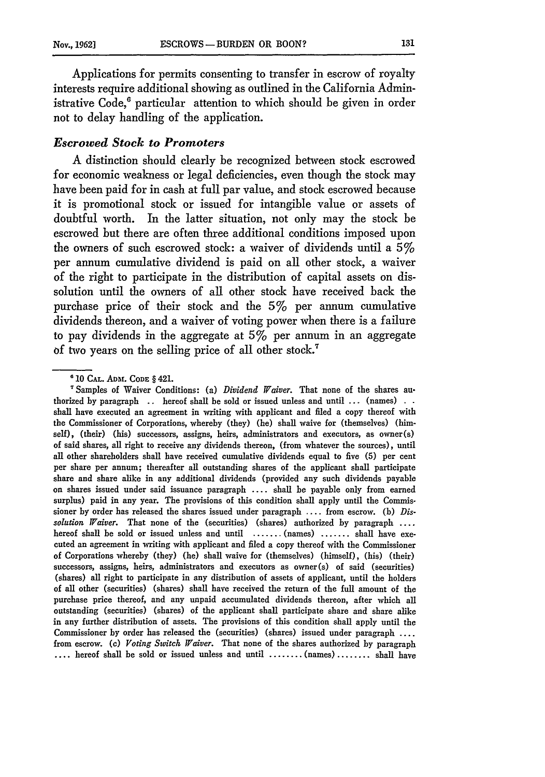Applications for permits consenting to transfer in escrow of royalty interests require additional showing as outlined in the California Administrative Code.<sup>6</sup> particular attention to which should be given in order not to delay handling of the application.

# *Escrowed Stock to Promoters*

A distinction should clearly be recognized between stock escrowed for economic weakness or legal deficiencies, even though the stock may have been paid for in cash at full par value, and stock escrowed because it is promotional stock or issued for intangible value or assets of doubtful worth. In the latter situation, not only may the stock be escrowed but there are often three additional conditions imposed upon the owners of such escrowed stock: a waiver of dividends until a  $5\%$ per annum cumulative dividend is paid on all other stock, a waiver of the right to participate in the distribution of capital assets on dissolution until the owners of all other stock have received back the purchase price of their stock and the 5% per annum cumulative dividends thereon, and a waiver of voting power when there is a failure to pay dividends in the aggregate at  $5\%$  per annum in an aggregate of two years on the selling price of all other stock.'

<sup>&</sup>lt;sup>6</sup> 10 CAL. ADM. CODE § 421.

Samples of Waiver Conditions: (a) *Dividend Waiver.* That none of the shares authorized **by** paragraph **..** hereof shall be sold or issued unless and until **...** (names) **.** . shall have executed an agreement in writing with applicant and filed a copy thereof with the Commissioner of Corporations, whereby (they) (he) shall waive for (themselves) (himself), (their) (his) successors, assigns, heirs, administrators and executors, as owner(s) of said shares, all right to receive any dividends thereon, (from whatever the sources), until all other shareholders shall have received cumulative dividends equal to five (5) per cent per share per annum; thereafter all outstanding shares of the applicant shall participate share and share alike in any additional dividends (provided any such dividends payable on shares issued under said issuance paragraph .... shall be payable only from earned surplus) paid in any year. The provisions of this condition shall apply until the Commissioner **by** order has released the shares issued under paragraph .... from escrow. (b) *Dissolution Waiver.* That none of the (securities) (shares) authorized by paragraph **....** hereof shall be sold or issued unless and until ....... (names) ....... shall have executed an agreement in writing with applicant and filed a copy thereof with the Commissioner of Corporations whereby (they) (he) shall waive for (themselves) (himself), (his) (their) successors, assigns, heirs, administrators and executors as owner(s) of said (securities) (shares) all right to participate in any distribution of assets of applicant, until the holders of all other (securities) (shares) shall have received the return of the full amount of the purchase price thereof, and any unpaid accumulated dividends thereon, after which all outstanding (securities) (shares) of the applicant shall participate share and share alike in any further distribution of assets. The provisions of this condition shall apply until the Commissioner **by** order has released the (securities) (shares) issued under paragraph **....** from escrow. **(c)** *Voting Switch Waiver.* That none of the shares authorized **by** paragraph **....** hereof shall be sold or issued unless and until **........** (names) **........** shall have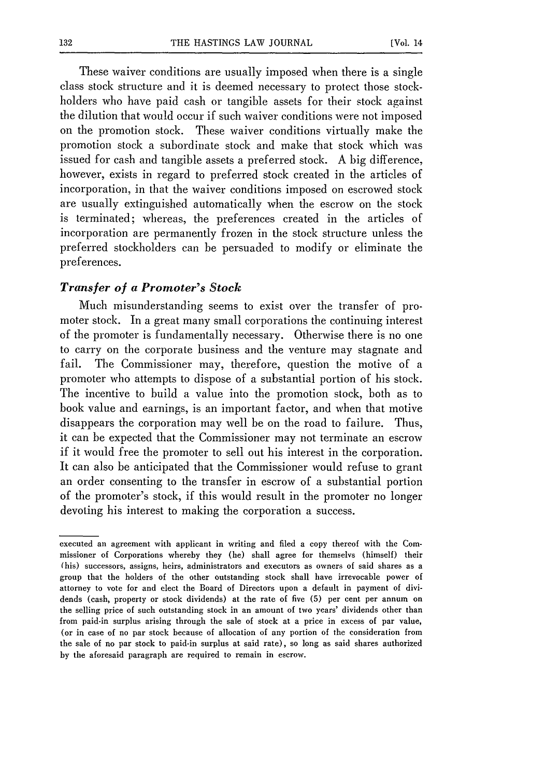These waiver conditions are usually imposed when there is a single class stock structure and it is deemed necessary to protect those stockholders who have paid cash or tangible assets for their stock against the dilution that would occur if such waiver conditions were not imposed on the promotion stock. These waiver conditions virtually make the promotion stock a subordinate stock and make that stock which was issued for cash and tangible assets a preferred stock. A big difference, however, exists in regard to preferred stock created in the articles of incorporation, in that the waiver conditions imposed on escrowed stock are usually extinguished automatically when the escrow on the stock is terminated; whereas, the preferences created in the articles of incorporation are permanently frozen in the stock structure unless the preferred stockholders can be persuaded to modify or eliminate the preferences.

#### *Transfer of a Promoter's Stock*

Much misunderstanding seems to exist over the transfer of promoter stock. In a great many small corporations the continuing interest of the promoter is fundamentally necessary. Otherwise there is no one to carry on the corporate business and the venture may stagnate and fail. The Commissioner may, therefore, question the motive of a promoter who attempts to dispose of a substantial portion of his stock. The incentive to build a value into the promotion stock, both as to book value and earnings, is an important factor, and when that motive disappears the corporation may well be on the road to failure. Thus, it can be expected that the Commissioner may not terminate an escrow if it would free the promoter to sell out his interest in the corporation. It can also be anticipated that the Commissioner would refuse to grant an order consenting to the transfer in escrow of a substantial portion of the promoter's stock, if this would result in the promoter no longer devoting his interest to making the corporation a success.

executed an agreement with applicant in writing and filed a copy thereof with the Commissioner of Corporations whereby they (he) shall agree for themselvs (himself) their (his) successors, assigns, heirs, administrators and executors as owners of said shares as a group that the holders of the other outstanding stock shall have irrevocable power of attorney to vote for and elect the Board of Directors upon a default in payment of dividends (cash, property or stock dividends) at the rate of five (5) per cent per annum on the selling price of such outstanding stock in an amount of two years' dividends other than from paid-in surplus arising through the sale of stock at a price in excess of par value, (or in case of no par stock because of allocation of any portion of the consideration from the sale of no par stock to paid-in surplus at said rate), so long as said shares authorized by the aforesaid paragraph are required to remain in escrow.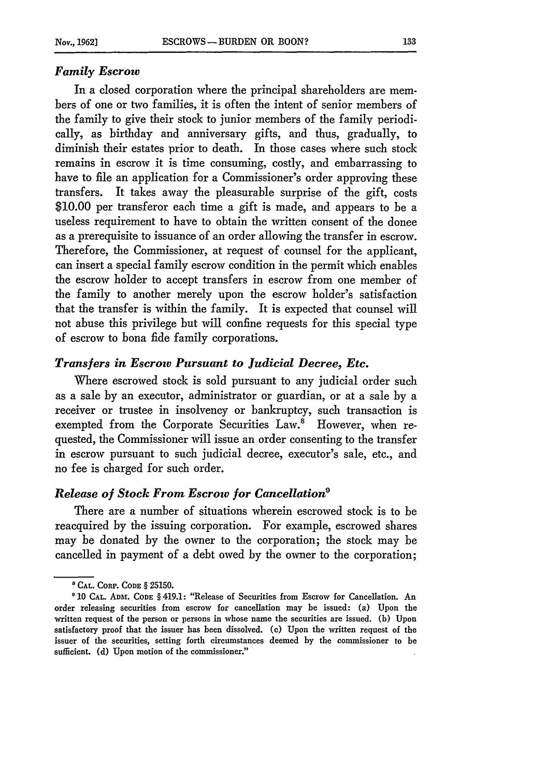#### *Family Escrow*

In a closed corporation where the principal shareholders are members of one or two families, it is often the intent of senior members of the family to give their stock to junior members of the family periodically, as birthday and anniversary gifts, and thus, gradually, to diminish their estates prior to death. In those cases where such stock remains in escrow it is time consuming, costly, and embarrassing to have to file an application for a Commissioner's order approving these transfers. It takes away the pleasurable surprise of the gift, costs \$10.00 per transferor each time a gift is made, and appears to be a useless requirement to have to obtain the written consent of the donee as a prerequisite to issuance of an order allowing the transfer in escrow. Therefore, the Commissioner, at request of counsel for the applicant, can insert a special family escrow condition in the permit which enables the escrow holder to accept transfers in escrow from one member of the family to another merely upon the escrow holder's satisfaction that the transfer is within the family. It is expected that counsel will not abuse this privilege but will confine requests for this special type of escrow to bona fide family corporations.

# *Transfers in Escrow Pursuant to Judicial Decree, Etc.*

Where escrowed stock is sold pursuant to any judicial order such as a sale by an executor, administrator or guardian, or at a sale by a receiver or trustee in insolvency or bankruptcy, such transaction is exempted from the Corporate Securities Law.<sup>8</sup> However, when requested, the Commissioner will issue an order consenting to the transfer in escrow pursuant to such judicial decree, executor's sale, etc., and no fee is charged for such order.

#### *Release of Stock From Escrow for Cancellation9*

There are a number of situations wherein escrowed stock is to be reacquired by the issuing corporation. For example, escrowed shares may be donated by the owner to the corporation; the stock may be cancelled in payment of a debt owed by the owner to the corporation;

**<sup>&#</sup>x27;CAL. CoRP. CODE** § 25150.

<sup>&</sup>lt;sup>0</sup> 10 CAL. ADM. CODE § 419.1: "Release of Securities from Escrow for Cancellation. An order releasing securities from escrow for cancellation may be issued: (a) Upon the written request of the person or persons in whose name the securities are issued. **(b)** Upon satisfactory proof that the issuer has been dissolved. (c) Upon the written request of the issuer of the securities, setting forth circumstances deemed by the commissioner to be sufficient. **(d)** Upon motion of the commissioner."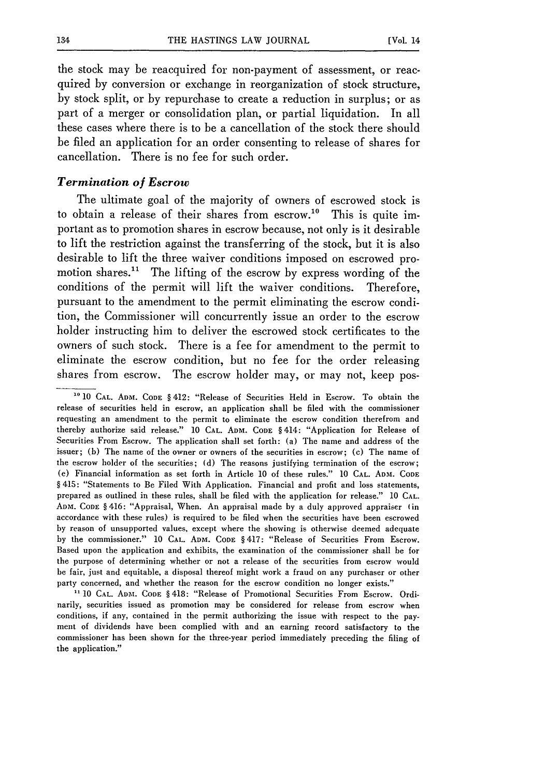the stock may be reacquired for non-payment of assessment, or reacquired by conversion or exchange in reorganization of stock structure, by stock split, or by repurchase to create a reduction in surplus; or as part of a merger or consolidation plan, or partial liquidation. In all these cases where there is to be a cancellation of the stock there should be filed an application for an order consenting to release of shares for cancellation. There is no fee for such order.

# *Termination of Escrow*

The ultimate goal of the majority of owners of escrowed stock is to obtain a release of their shares from escrow.<sup>10</sup> This is quite important as to promotion shares in escrow because, not only is it desirable to lift the restriction against the transferring of the stock, but it is also desirable to lift the three waiver conditions imposed on escrowed promotion shares.<sup>11</sup> The lifting of the escrow by express wording of the conditions of the permit will lift the waiver conditions. Therefore, pursuant to the amendment to the permit eliminating the escrow condition, the Commissioner will concurrently issue an order to the escrow holder instructing him to deliver the escrowed stock certificates to the owners of such stock. There is a fee for amendment to the permit to eliminate the escrow condition, but no fee for the order releasing shares from escrow. The escrow holder may, or may not, keep pos-

<sup>-</sup>**0 10 CAL. ADM. CODE** § 412: "Release of Securities Held in Escrow. To obtain the release of securities held in escrow, an application shall be filed with the commissioner requesting an amendment to the permit to eliminate the escrow condition therefrom and thereby authorize said release." 10 **CAL.** ADM. **CODE** § 414: "Application for Release of Securities From Escrow. The application shall set forth: (a) The name and address of the issuer; (b) The name of the owner or owners of the securities in escrow; (c) The name of the escrow holder of the securities; (d) The reasons justifying termination of the escrow; (e) Financial information as set forth in Article 10 of these rules." 10 **CAL. ADM. CODE** § 415: "Statements to Be Filed With Application. Financial and profit and loss statements, prepared as outlined in these rules, shal **be** filed with the application for release." 10 **CAL. ADM. CODE** § 416: "Appraisal, When. An appraisal made by a duly approved appraiser (in accordance with these rules) is required to be filed when the securities have been escrowed by reason of unsupported values, except where the showing is otherwise deemed adequate by the commissioner." 10 **CAL. ADM. CODE** § 417: "Release of Securities From Escrow. Based upon the application and exhibits, the examination of the commissioner shall be for the purpose of determining whether or not a release of the securities from escrow would be fair, just and equitable, a disposal thereof might work a fraud on any purchaser or other party concerned, and whether the reason for the escrow condition no longer exists."

**<sup>&</sup>quot;** 10 **CAL. ADM. CODE** § 418: "Release of Promotional Securities From Escrow. Ordinarily, securities issued as promotion may be considered for release from escrow when conditions, if any, contained in the permit authorizing the issue with respect to the payment of dividends have been complied with and an earning record satisfactory to the commissioner has been shown for the three-year period immediately preceding the filing of the application."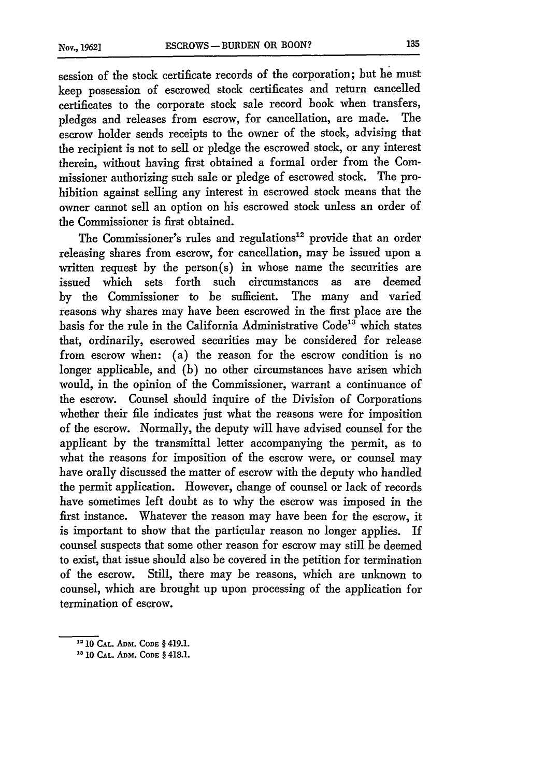session of the stock certificate records of the corporation; but he must keep possession of escrowed stock certificates and return cancelled certificates to the corporate stock sale record book when transfers, pledges and releases from escrow, for cancellation, are made. The escrow holder sends receipts to the owner of the stock, advising that the recipient is not to sell or pledge the escrowed stock, or any interest therein, without having first obtained a formal order from the Commissioner authorizing such sale or pledge of escrowed stock. The prohibition against selling any interest in escrowed stock means that the owner cannot sell an option on his escrowed stock unless an order of the Commissioner is first obtained.

The Commissioner's rules and regulations<sup>12</sup> provide that an order releasing shares from escrow, for cancellation, may be issued upon a written request by the person(s) in whose name the securities are issued which sets forth such circumstances as are deemed by the Commissioner to be sufficient. The many and varied reasons why shares may have been escrowed in the first place are the basis for the rule in the California Administrative Code<sup>13</sup> which states that, ordinarily, escrowed securities may be considered for release from escrow when: (a) the reason for the escrow condition is no longer applicable, and (b) no other circumstances have arisen which would, in the opinion of the Commissioner, warrant a continuance of the escrow. Counsel should inquire of the Division of Corporations whether their file indicates just what the reasons were for imposition of the escrow. Normally, the deputy will have advised counsel for the applicant by the transmittal letter accompanying the permit, as to what the reasons for imposition of the escrow were, or counsel may have orally discussed the matter of escrow with the deputy who handled the permit application. However, change of counsel or lack of records have sometimes left doubt as to why the escrow was imposed in the first instance. Whatever the reason may have been for the escrow, it is important to show that the particular reason no longer applies. If counsel suspects that some other reason for escrow may still be deemed to exist, that issue should also be covered in the petition for termination of the escrow. Still, there may be reasons, which are unknown to counsel, which are brought up upon processing of the application for termination of escrow.

**<sup>2 10</sup> CAL. ADM. CODE** § 419.1.

**<sup>&</sup>quot;** 10 **CAL.** ADM. **CODE** § 418.1.